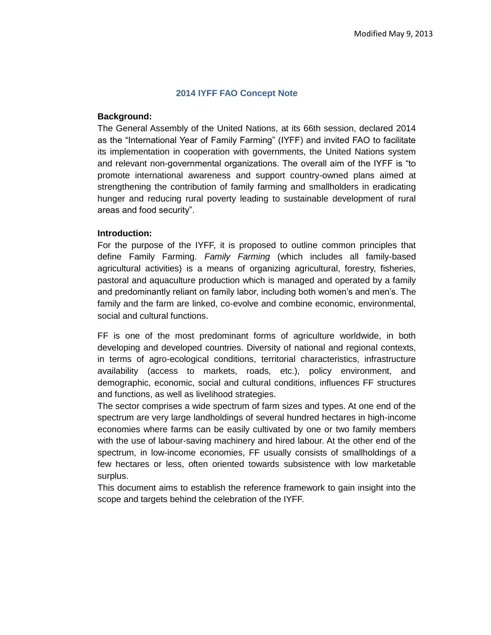### **2014 IYFF FAO Concept Note**

#### **Background:**

The General Assembly of the United Nations, at its 66th session, declared 2014 as the "International Year of Family Farming" (IYFF) and invited FAO to facilitate its implementation in cooperation with governments, the United Nations system and relevant non-governmental organizations. The overall aim of the IYFF is "to promote international awareness and support country-owned plans aimed at strengthening the contribution of family farming and smallholders in eradicating hunger and reducing rural poverty leading to sustainable development of rural areas and food security".

## **Introduction:**

For the purpose of the IYFF, it is proposed to outline common principles that define Family Farming. *Family Farming* (which includes all family-based agricultural activities) is a means of organizing agricultural, forestry, fisheries, pastoral and aquaculture production which is managed and operated by a family and predominantly reliant on family labor, including both women's and men's. The family and the farm are linked, co-evolve and combine economic, environmental, social and cultural functions.

FF is one of the most predominant forms of agriculture worldwide, in both developing and developed countries. Diversity of national and regional contexts, in terms of agro-ecological conditions, territorial characteristics, infrastructure availability (access to markets, roads, etc.), policy environment, and demographic, economic, social and cultural conditions, influences FF structures and functions, as well as livelihood strategies.

The sector comprises a wide spectrum of farm sizes and types. At one end of the spectrum are very large landholdings of several hundred hectares in high-income economies where farms can be easily cultivated by one or two family members with the use of labour-saving machinery and hired labour. At the other end of the spectrum, in low-income economies, FF usually consists of smallholdings of a few hectares or less, often oriented towards subsistence with low marketable surplus.

This document aims to establish the reference framework to gain insight into the scope and targets behind the celebration of the IYFF.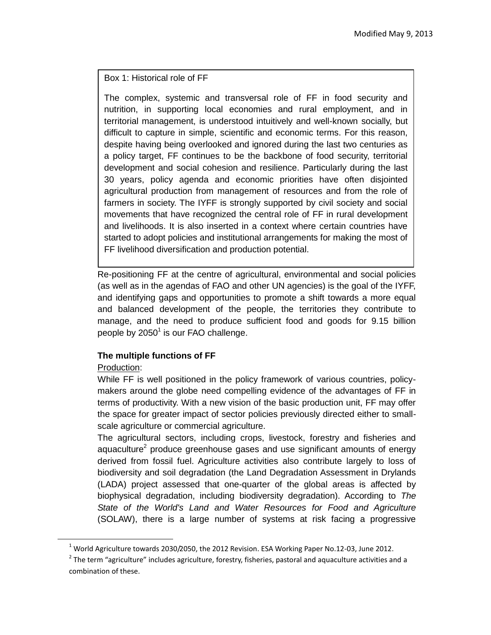Box 1: Historical role of FF

The complex, systemic and transversal role of FF in food security and nutrition, in supporting local economies and rural employment, and in territorial management, is understood intuitively and well-known socially, but difficult to capture in simple, scientific and economic terms. For this reason, despite having being overlooked and ignored during the last two centuries as a policy target, FF continues to be the backbone of food security, territorial development and social cohesion and resilience. Particularly during the last 30 years, policy agenda and economic priorities have often disjointed agricultural production from management of resources and from the role of farmers in society. The IYFF is strongly supported by civil society and social movements that have recognized the central role of FF in rural development and livelihoods. It is also inserted in a context where certain countries have started to adopt policies and institutional arrangements for making the most of FF livelihood diversification and production potential.

Re-positioning FF at the centre of agricultural, environmental and social policies (as well as in the agendas of FAO and other UN agencies) is the goal of the IYFF, and identifying gaps and opportunities to promote a shift towards a more equal and balanced development of the people, the territories they contribute to manage, and the need to produce sufficient food and goods for 9.15 billion people by 2050 $^1$  is our FAO challenge.

# **The multiple functions of FF**

# Production:

 $\overline{\phantom{a}}$ 

While FF is well positioned in the policy framework of various countries, policymakers around the globe need compelling evidence of the advantages of FF in terms of productivity. With a new vision of the basic production unit, FF may offer the space for greater impact of sector policies previously directed either to smallscale agriculture or commercial agriculture.

The agricultural sectors, including crops, livestock, forestry and fisheries and aquaculture<sup>2</sup> produce greenhouse gases and use significant amounts of energy derived from fossil fuel. Agriculture activities also contribute largely to loss of biodiversity and soil degradation (the Land Degradation Assessment in Drylands (LADA) project assessed that one-quarter of the global areas is affected by biophysical degradation, including biodiversity degradation). According to *The State of the World's Land and Water Resources for Food and Agriculture* (SOLAW), there is a large number of systems at risk facing a progressive

<sup>&</sup>lt;sup>1</sup> World Agriculture towards 2030/2050, the 2012 Revision. ESA Working Paper No.12-03, June 2012.

 $2$  The term "agriculture" includes agriculture, forestry, fisheries, pastoral and aquaculture activities and a combination of these.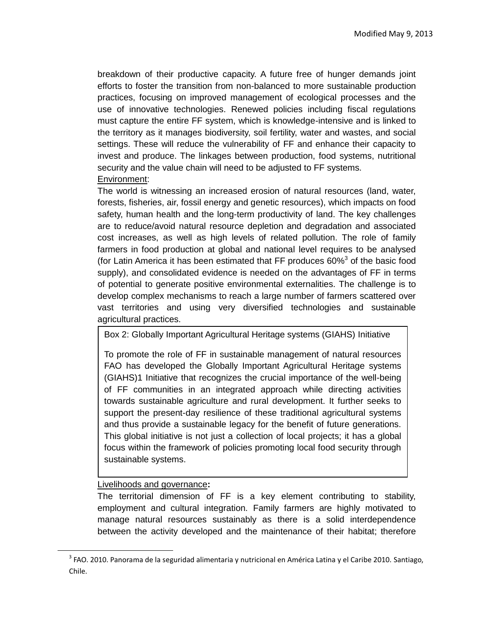breakdown of their productive capacity. A future free of hunger demands joint efforts to foster the transition from non-balanced to more sustainable production practices, focusing on improved management of ecological processes and the use of innovative technologies. Renewed policies including fiscal regulations must capture the entire FF system, which is knowledge-intensive and is linked to the territory as it manages biodiversity, soil fertility, water and wastes, and social settings. These will reduce the vulnerability of FF and enhance their capacity to invest and produce. The linkages between production, food systems, nutritional security and the value chain will need to be adjusted to FF systems. Environment:

The world is witnessing an increased erosion of natural resources (land, water, forests, fisheries, air, fossil energy and genetic resources), which impacts on food safety, human health and the long-term productivity of land. The key challenges are to reduce/avoid natural resource depletion and degradation and associated cost increases, as well as high levels of related pollution. The role of family farmers in food production at global and national level requires to be analysed (for Latin America it has been estimated that FF produces  $60\%$ <sup>3</sup> of the basic food supply), and consolidated evidence is needed on the advantages of FF in terms of potential to generate positive environmental externalities. The challenge is to develop complex mechanisms to reach a large number of farmers scattered over vast territories and using very diversified technologies and sustainable agricultural practices.

Box 2: [Globally Important Agricultural Heritage systems \(GIAHS\)](http://www.giahs.org/giahs/en/) Initiative

To promote the role of FF in sustainable management of natural resources FAO has developed the [Globally Important Agricultural Heritage systems](http://www.giahs.org/giahs/en/)  [\(GIAHS\)1](http://www.giahs.org/giahs/en/) Initiative that recognizes the crucial importance of the well-being of FF communities in an integrated approach while directing activities towards sustainable agriculture and rural development. It further seeks to support the present-day resilience of these traditional agricultural systems and thus provide a sustainable legacy for the benefit of future generations. This global initiative is not just a collection of local projects; it has a global focus within the framework of policies promoting local food security through sustainable systems.

## Livelihoods and governance**:**

l

The territorial dimension of FF is a key element contributing to stability, employment and cultural integration. Family farmers are highly motivated to manage natural resources sustainably as there is a solid interdependence between the activity developed and the maintenance of their habitat; therefore

<sup>&</sup>lt;sup>3</sup> FAO. 2010. Panorama de la seguridad alimentaria y nutricional en América Latina y el Caribe 2010. Santiago, Chile.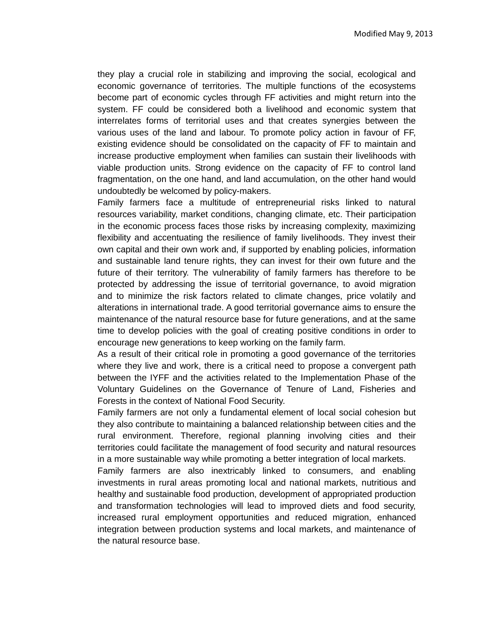they play a crucial role in stabilizing and improving the social, ecological and economic governance of territories. The multiple functions of the ecosystems become part of economic cycles through FF activities and might return into the system. FF could be considered both a livelihood and economic system that interrelates forms of territorial uses and that creates synergies between the various uses of the land and labour. To promote policy action in favour of FF, existing evidence should be consolidated on the capacity of FF to maintain and increase productive employment when families can sustain their livelihoods with viable production units. Strong evidence on the capacity of FF to control land fragmentation, on the one hand, and land accumulation, on the other hand would undoubtedly be welcomed by policy-makers.

Family farmers face a multitude of entrepreneurial risks linked to natural resources variability, market conditions, changing climate, etc. Their participation in the economic process faces those risks by increasing complexity, maximizing flexibility and accentuating the resilience of family livelihoods. They invest their own capital and their own work and, if supported by enabling policies, information and sustainable land tenure rights, they can invest for their own future and the future of their territory. The vulnerability of family farmers has therefore to be protected by addressing the issue of territorial governance, to avoid migration and to minimize the risk factors related to climate changes, price volatily and alterations in international trade. A good territorial governance aims to ensure the maintenance of the natural resource base for future generations, and at the same time to develop policies with the goal of creating positive conditions in order to encourage new generations to keep working on the family farm.

As a result of their critical role in promoting a good governance of the territories where they live and work, there is a critical need to propose a convergent path between the IYFF and the activities related to the Implementation Phase of the Voluntary Guidelines on the Governance of Tenure of Land, Fisheries and Forests in the context of National Food Security.

Family farmers are not only a fundamental element of local social cohesion but they also contribute to maintaining a balanced relationship between cities and the rural environment. Therefore, regional planning involving cities and their territories could facilitate the management of food security and natural resources in a more sustainable way while promoting a better integration of local markets.

Family farmers are also inextricably linked to consumers, and enabling investments in rural areas promoting local and national markets, nutritious and healthy and sustainable food production, development of appropriated production and transformation technologies will lead to improved diets and food security, increased rural employment opportunities and reduced migration, enhanced integration between production systems and local markets, and maintenance of the natural resource base.